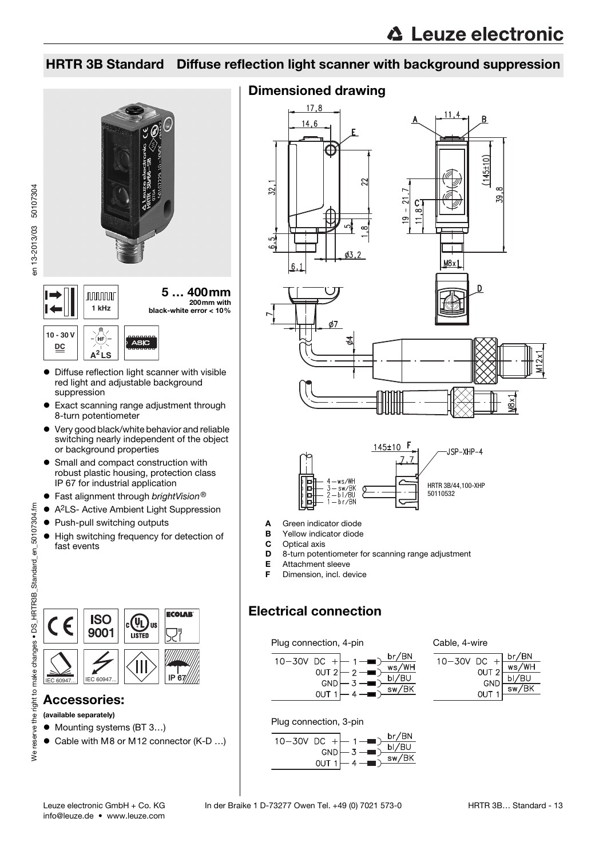59.

# HRTR 3B Standard Diffuse reflection light scanner with background suppression





**10 - 30 V** (HF ASIO **DC A<sup>2</sup> LS**

- Diffuse reflection light scanner with visible red light and adjustable background suppression
- Exact scanning range adjustment through 8-turn potentiometer
- Very good black/white behavior and reliable switching nearly independent of the object or background properties
- **•** Small and compact construction with robust plastic housing, protection class IP 67 for industrial application
- $\bullet$  Fast alignment through brightVision®
- A2LS- Active Ambient Light Suppression
- Push-pull switching outputs
- $\bullet$  High switching frequency for detection of fast events





# Accessories:

(available separately)

- Mounting systems (BT 3...)
- Cable with M8 or M12 connector (K-D ...)

# Dimensioned drawing







- A Green indicator diode
- B Yellow indicator diode
- C Optical axis
- **D** 8-turn potentiometer for scanning range adjustment<br>**E** Attachment sleeve
- Attachment sleeve
- F Dimension, incl. device

# Electrical connection

### Plug connection, 4-pin







Plug connection, 3-pin

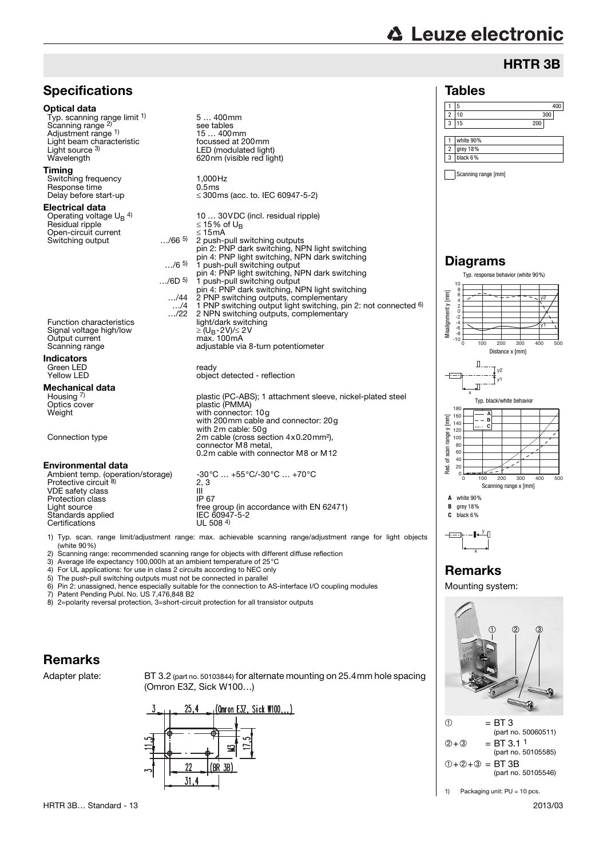# **△ Leuze electronic**

# HRTR 3B



3) Average life expectancy 100,000h at an ambient temperature of 25°C 4) For UL applications: for use in class 2 circuits according to NEC only

5) The push-pull switching outputs must not be connected in parallel 6) Pin 2: unassigned, hence especially suitable for the connection to.

6) Pin 2: unassigned, hence especially suitable for the connection to AS-interface I/O coupling modules Patent Pending Publ. No. US 7,476,848 B2

8) 2=polarity reversal protection, 3=short-circuit protection for all transistor outputs

# Remarks

Adapter plate: BT 3.2 (part no. 50103844) for alternate mounting on 25.4mm hole spacing (Omron E3Z, Sick W100…)





Remarks Mounting system:

1) Packaging unit: PU = 10 pcs.

➀➁➂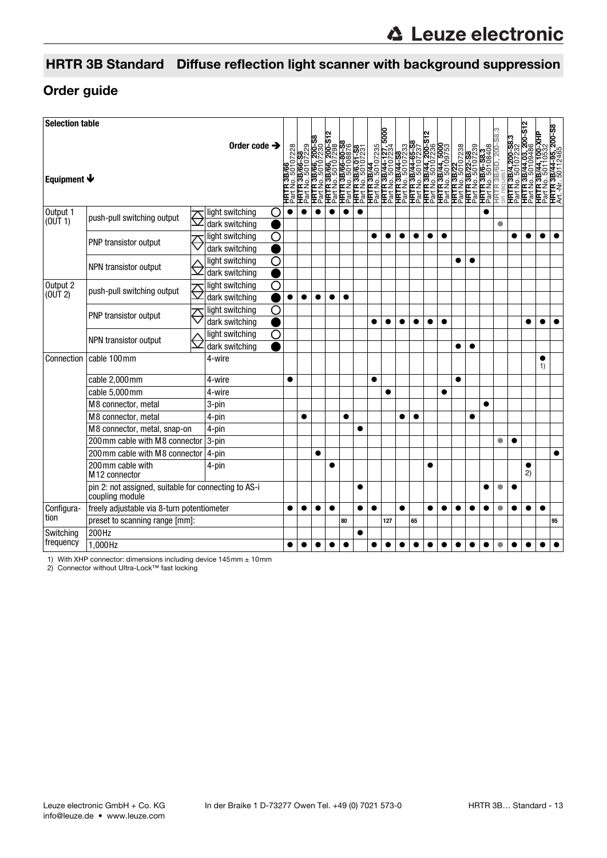# HRTR 3B Standard Diffuse reflection light scanner with background suppression

# Order guide

| <b>Selection table</b>                       |                                                                         |        |                                   |                    |           |           |           |           |           |           |           |           |           |           |           |           |   |   |   |           |                 |                                                                                                                                                                                                                                                             |           |           |
|----------------------------------------------|-------------------------------------------------------------------------|--------|-----------------------------------|--------------------|-----------|-----------|-----------|-----------|-----------|-----------|-----------|-----------|-----------|-----------|-----------|-----------|---|---|---|-----------|-----------------|-------------------------------------------------------------------------------------------------------------------------------------------------------------------------------------------------------------------------------------------------------------|-----------|-----------|
|                                              |                                                                         |        | Order code $\rightarrow$          |                    | 50107228  |           |           |           |           |           |           |           |           |           |           |           |   |   |   |           |                 | <b>HATR 38/66-58</b><br>HATR 38/66-58/2230<br>HATR 38/66-6008876<br>EATR 38/66-6008876<br>EATR 38/66-6008876<br>EATR 38/66-6008876<br>EATR 38/6007:58<br>HATR 38/64-72735<br>HATR 38/64-72735<br>HATR 38/64-72735<br>HATR 38/64-72838<br>HATR 38/6-8838<br> |           |           |
| Equipment $\blacklozenge$                    |                                                                         |        | 3B/66<br>돌                        |                    |           |           |           |           |           |           |           |           |           |           |           |           |   |   |   |           |                 |                                                                                                                                                                                                                                                             |           |           |
| Output 1<br>(0 <sup>U</sup> T <sub>1</sub> ) | push-pull switching output                                              |        | light switching<br>dark switching | C                  |           |           |           |           |           |           |           |           |           |           |           |           |   |   |   | $\bullet$ |                 |                                                                                                                                                                                                                                                             |           |           |
|                                              | PNP transistor output                                                   |        | light switching                   | O                  |           |           |           |           |           |           |           |           |           |           |           |           |   |   |   |           |                 |                                                                                                                                                                                                                                                             |           | $\bullet$ |
|                                              |                                                                         |        | dark switching                    |                    |           |           |           |           |           |           |           |           |           |           |           |           |   |   |   |           |                 |                                                                                                                                                                                                                                                             |           |           |
|                                              | NPN transistor output                                                   |        | light switching                   | $\overline{\rm O}$ |           |           |           |           |           |           |           |           |           |           |           |           |   |   |   |           |                 |                                                                                                                                                                                                                                                             |           |           |
|                                              |                                                                         |        | dark switching                    |                    |           |           |           |           |           |           |           |           |           |           |           |           |   |   |   |           |                 |                                                                                                                                                                                                                                                             |           |           |
| Output 2<br>(0 <sup>U</sup> T <sub>2</sub> ) | push-pull switching output                                              |        | light switching                   | O                  |           |           |           |           |           |           |           |           |           |           |           |           |   |   |   |           |                 |                                                                                                                                                                                                                                                             |           |           |
|                                              |                                                                         |        | dark switching                    |                    | $\bullet$ | $\bullet$ | ●         |           | ●         |           |           |           |           |           |           |           |   |   |   |           |                 |                                                                                                                                                                                                                                                             |           |           |
|                                              | PNP transistor output                                                   |        | light switching                   | O                  |           |           |           |           |           |           |           |           |           |           |           |           |   |   |   |           |                 |                                                                                                                                                                                                                                                             |           |           |
|                                              |                                                                         |        | dark switching                    |                    |           |           |           |           |           |           | $\bullet$ | $\bullet$ | ●         | $\bullet$ | $\bullet$ | $\bullet$ |   |   |   |           |                 | $\bullet$                                                                                                                                                                                                                                                   | ●         | $\bullet$ |
|                                              | NPN transistor output                                                   |        | light switching                   | $\overline{\rm O}$ |           |           |           |           |           |           |           |           |           |           |           |           |   |   |   |           |                 |                                                                                                                                                                                                                                                             |           |           |
|                                              |                                                                         |        | dark switching                    |                    |           |           |           |           |           |           |           |           |           |           |           |           |   |   |   |           |                 |                                                                                                                                                                                                                                                             |           |           |
| Connection                                   | cable 100mm                                                             | 4-wire |                                   |                    |           |           |           |           |           |           |           |           |           |           |           |           |   |   |   |           |                 | 1)                                                                                                                                                                                                                                                          |           |           |
|                                              | cable 2,000mm                                                           | 4-wire |                                   | $\bullet$          |           |           |           |           |           | $\bullet$ |           |           |           |           |           | $\bullet$ |   |   |   |           |                 |                                                                                                                                                                                                                                                             |           |           |
|                                              | cable 5,000mm                                                           | 4-wire |                                   |                    |           |           |           |           |           |           | $\bullet$ |           |           |           | $\bullet$ |           |   |   |   |           |                 |                                                                                                                                                                                                                                                             |           |           |
|                                              | M8 connector, metal                                                     |        | 3-pin                             |                    |           |           |           |           |           |           |           |           |           |           |           |           |   |   |   |           |                 |                                                                                                                                                                                                                                                             |           |           |
|                                              | M8 connector, metal                                                     |        | 4-pin                             |                    |           | $\bullet$ |           |           | $\bullet$ |           |           |           |           |           |           |           |   |   |   |           |                 |                                                                                                                                                                                                                                                             |           |           |
|                                              | M8 connector, metal, snap-on                                            |        | 4-pin                             |                    |           |           |           |           |           |           |           |           |           |           |           |           |   |   |   |           |                 |                                                                                                                                                                                                                                                             |           |           |
|                                              | 200 mm cable with M8 connector                                          |        | 3-pin                             |                    |           |           |           |           |           |           |           |           |           |           |           |           |   |   |   | $\bullet$ | ●               |                                                                                                                                                                                                                                                             |           |           |
|                                              | 200mm cable with M8 connector                                           |        | 4-pin                             |                    |           |           | $\bullet$ |           |           |           |           |           |           |           |           |           |   |   |   |           |                 |                                                                                                                                                                                                                                                             |           | $\bullet$ |
|                                              | 200mm cable with<br>M <sub>12</sub> connector                           | 4-pin  |                                   |                    |           |           |           |           |           |           |           |           |           |           |           |           |   |   |   |           | $\bullet$<br>2) |                                                                                                                                                                                                                                                             |           |           |
|                                              | pin 2: not assigned, suitable for connecting to AS-i<br>coupling module |        |                                   |                    |           |           |           |           |           |           |           |           |           |           |           |           |   |   |   | $\bullet$ |                 |                                                                                                                                                                                                                                                             |           |           |
| Configura-                                   | freely adjustable via 8-turn potentiometer                              |        |                                   |                    | ●         |           | ●         | $\bullet$ |           | $\bullet$ | $\bullet$ |           | $\bullet$ |           | ●         | ●         | ● | ● | ● | $\bullet$ | ●               | $\bullet$                                                                                                                                                                                                                                                   | $\bullet$ |           |
| tion                                         | preset to scanning range [mm]:                                          |        |                                   |                    |           |           |           |           | 80        |           |           | 127       |           | 65        |           |           |   |   |   |           |                 |                                                                                                                                                                                                                                                             |           | 95        |
| Switching                                    | 200Hz                                                                   |        |                                   |                    |           |           |           |           |           | $\bullet$ |           |           |           |           |           |           |   |   |   |           |                 |                                                                                                                                                                                                                                                             |           |           |
| frequency                                    | 1,000Hz                                                                 |        |                                   |                    |           |           |           |           |           |           |           |           |           |           |           |           |   |   |   |           |                 |                                                                                                                                                                                                                                                             |           |           |

1) With XHP connector: dimensions including device 145mm ± 10mm 2) Connector without Ultra-Lock™ fast locking